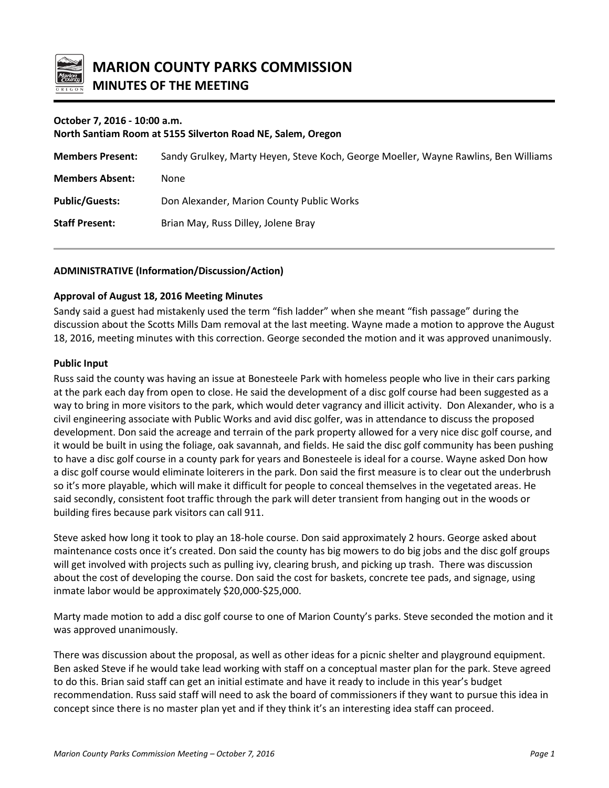

# **October 7, 2016 - 10:00 a.m.**

**North Santiam Room at 5155 Silverton Road NE, Salem, Oregon**

| <b>Members Present:</b> | Sandy Grulkey, Marty Heyen, Steve Koch, George Moeller, Wayne Rawlins, Ben Williams |
|-------------------------|-------------------------------------------------------------------------------------|
| <b>Members Absent:</b>  | None                                                                                |
| <b>Public/Guests:</b>   | Don Alexander, Marion County Public Works                                           |
| <b>Staff Present:</b>   | Brian May, Russ Dilley, Jolene Bray                                                 |

# **ADMINISTRATIVE (Information/Discussion/Action)**

## **Approval of August 18, 2016 Meeting Minutes**

Sandy said a guest had mistakenly used the term "fish ladder" when she meant "fish passage" during the discussion about the Scotts Mills Dam removal at the last meeting. Wayne made a motion to approve the August 18, 2016, meeting minutes with this correction. George seconded the motion and it was approved unanimously.

## **Public Input**

Russ said the county was having an issue at Bonesteele Park with homeless people who live in their cars parking at the park each day from open to close. He said the development of a disc golf course had been suggested as a way to bring in more visitors to the park, which would deter vagrancy and illicit activity. Don Alexander, who is a civil engineering associate with Public Works and avid disc golfer, was in attendance to discuss the proposed development. Don said the acreage and terrain of the park property allowed for a very nice disc golf course, and it would be built in using the foliage, oak savannah, and fields. He said the disc golf community has been pushing to have a disc golf course in a county park for years and Bonesteele is ideal for a course. Wayne asked Don how a disc golf course would eliminate loiterers in the park. Don said the first measure is to clear out the underbrush so it's more playable, which will make it difficult for people to conceal themselves in the vegetated areas. He said secondly, consistent foot traffic through the park will deter transient from hanging out in the woods or building fires because park visitors can call 911.

Steve asked how long it took to play an 18-hole course. Don said approximately 2 hours. George asked about maintenance costs once it's created. Don said the county has big mowers to do big jobs and the disc golf groups will get involved with projects such as pulling ivy, clearing brush, and picking up trash. There was discussion about the cost of developing the course. Don said the cost for baskets, concrete tee pads, and signage, using inmate labor would be approximately \$20,000-\$25,000.

Marty made motion to add a disc golf course to one of Marion County's parks. Steve seconded the motion and it was approved unanimously.

There was discussion about the proposal, as well as other ideas for a picnic shelter and playground equipment. Ben asked Steve if he would take lead working with staff on a conceptual master plan for the park. Steve agreed to do this. Brian said staff can get an initial estimate and have it ready to include in this year's budget recommendation. Russ said staff will need to ask the board of commissioners if they want to pursue this idea in concept since there is no master plan yet and if they think it's an interesting idea staff can proceed.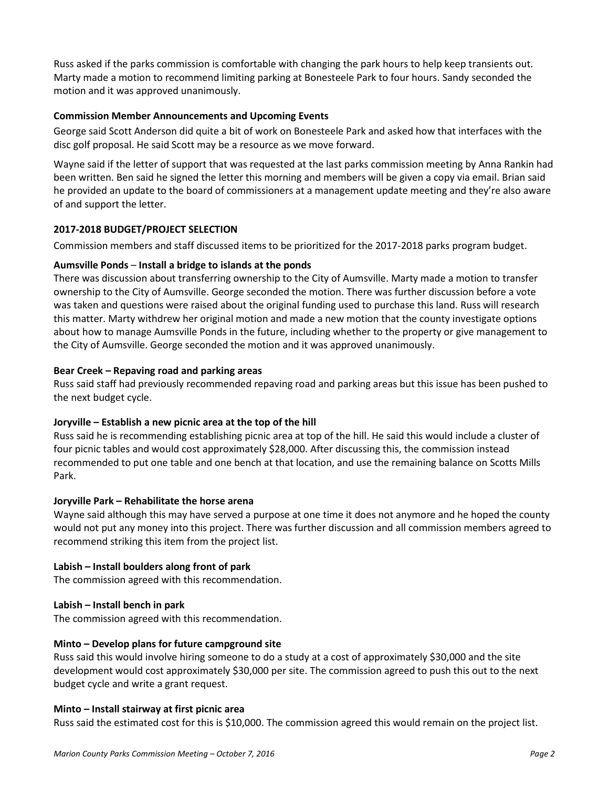Russ asked if the parks commission is comfortable with changing the park hours to help keep transients out. Marty made a motion to recommend limiting parking at Bonesteele Park to four hours. Sandy seconded the motion and it was approved unanimously.

## **Commission Member Announcements and Upcoming Events**

George said Scott Anderson did quite a bit of work on Bonesteele Park and asked how that interfaces with the disc golf proposal. He said Scott may be a resource as we move forward.

Wayne said if the letter of support that was requested at the last parks commission meeting by Anna Rankin had been written. Ben said he signed the letter this morning and members will be given a copy via email. Brian said he provided an update to the board of commissioners at a management update meeting and they're also aware of and support the letter.

## **2017-2018 BUDGET/PROJECT SELECTION**

Commission members and staff discussed items to be prioritized for the 2017-2018 parks program budget.

## **Aumsville Ponds** – **Install a bridge to islands at the ponds**

There was discussion about transferring ownership to the City of Aumsville. Marty made a motion to transfer ownership to the City of Aumsville. George seconded the motion. There was further discussion before a vote was taken and questions were raised about the original funding used to purchase this land. Russ will research this matter. Marty withdrew her original motion and made a new motion that the county investigate options about how to manage Aumsville Ponds in the future, including whether to the property or give management to the City of Aumsville. George seconded the motion and it was approved unanimously.

## **Bear Creek – Repaving road and parking areas**

Russ said staff had previously recommended repaving road and parking areas but this issue has been pushed to the next budget cycle.

## **Joryville – Establish a new picnic area at the top of the hill**

Russ said he is recommending establishing picnic area at top of the hill. He said this would include a cluster of four picnic tables and would cost approximately \$28,000. After discussing this, the commission instead recommended to put one table and one bench at that location, and use the remaining balance on Scotts Mills Park.

## **Joryville Park – Rehabilitate the horse arena**

Wayne said although this may have served a purpose at one time it does not anymore and he hoped the county would not put any money into this project. There was further discussion and all commission members agreed to recommend striking this item from the project list.

## **Labish – Install boulders along front of park**

The commission agreed with this recommendation.

## **Labish – Install bench in park**

The commission agreed with this recommendation.

## **Minto – Develop plans for future campground site**

Russ said this would involve hiring someone to do a study at a cost of approximately \$30,000 and the site development would cost approximately \$30,000 per site. The commission agreed to push this out to the next budget cycle and write a grant request.

## **Minto – Install stairway at first picnic area**

Russ said the estimated cost for this is \$10,000. The commission agreed this would remain on the project list.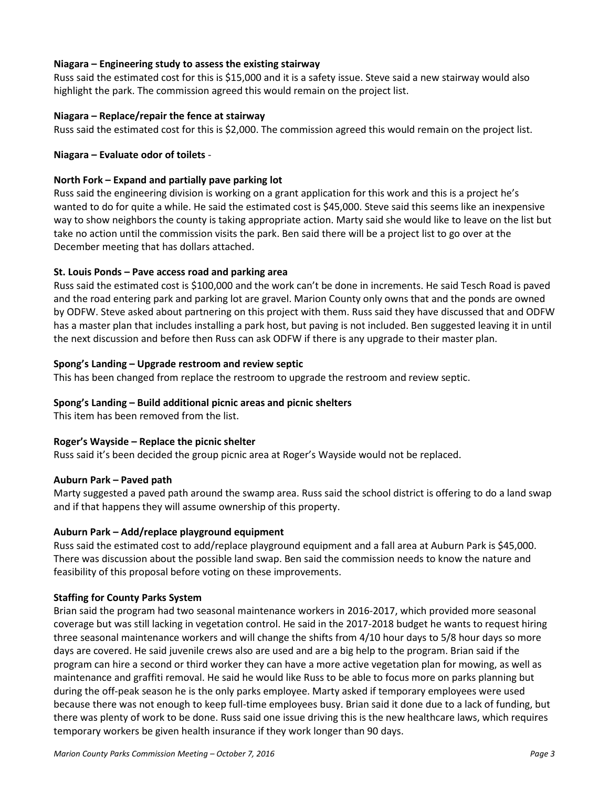## **Niagara – Engineering study to assess the existing stairway**

Russ said the estimated cost for this is \$15,000 and it is a safety issue. Steve said a new stairway would also highlight the park. The commission agreed this would remain on the project list.

## **Niagara – Replace/repair the fence at stairway**

Russ said the estimated cost for this is \$2,000. The commission agreed this would remain on the project list.

## **Niagara – Evaluate odor of toilets** -

## **North Fork – Expand and partially pave parking lot**

Russ said the engineering division is working on a grant application for this work and this is a project he's wanted to do for quite a while. He said the estimated cost is \$45,000. Steve said this seems like an inexpensive way to show neighbors the county is taking appropriate action. Marty said she would like to leave on the list but take no action until the commission visits the park. Ben said there will be a project list to go over at the December meeting that has dollars attached.

## **St. Louis Ponds – Pave access road and parking area**

Russ said the estimated cost is \$100,000 and the work can't be done in increments. He said Tesch Road is paved and the road entering park and parking lot are gravel. Marion County only owns that and the ponds are owned by ODFW. Steve asked about partnering on this project with them. Russ said they have discussed that and ODFW has a master plan that includes installing a park host, but paving is not included. Ben suggested leaving it in until the next discussion and before then Russ can ask ODFW if there is any upgrade to their master plan.

## **Spong's Landing – Upgrade restroom and review septic**

This has been changed from replace the restroom to upgrade the restroom and review septic.

## **Spong's Landing – Build additional picnic areas and picnic shelters**

This item has been removed from the list.

# **Roger's Wayside – Replace the picnic shelter**

Russ said it's been decided the group picnic area at Roger's Wayside would not be replaced.

## **Auburn Park – Paved path**

Marty suggested a paved path around the swamp area. Russ said the school district is offering to do a land swap and if that happens they will assume ownership of this property.

## **Auburn Park – Add/replace playground equipment**

Russ said the estimated cost to add/replace playground equipment and a fall area at Auburn Park is \$45,000. There was discussion about the possible land swap. Ben said the commission needs to know the nature and feasibility of this proposal before voting on these improvements.

# **Staffing for County Parks System**

Brian said the program had two seasonal maintenance workers in 2016-2017, which provided more seasonal coverage but was still lacking in vegetation control. He said in the 2017-2018 budget he wants to request hiring three seasonal maintenance workers and will change the shifts from 4/10 hour days to 5/8 hour days so more days are covered. He said juvenile crews also are used and are a big help to the program. Brian said if the program can hire a second or third worker they can have a more active vegetation plan for mowing, as well as maintenance and graffiti removal. He said he would like Russ to be able to focus more on parks planning but during the off-peak season he is the only parks employee. Marty asked if temporary employees were used because there was not enough to keep full-time employees busy. Brian said it done due to a lack of funding, but there was plenty of work to be done. Russ said one issue driving this is the new healthcare laws, which requires temporary workers be given health insurance if they work longer than 90 days.